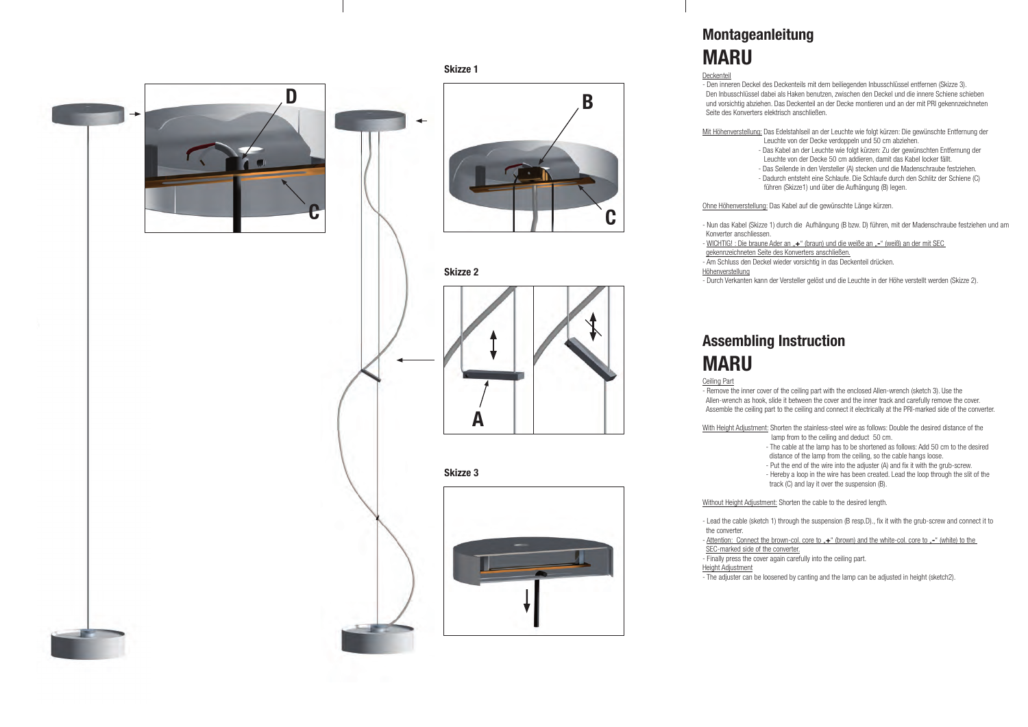# **Montageanleitung MARU**

Deckenteil - Den inneren Deckel des Deckenteils mit dem beiliegenden Inbusschlüssel entfernen (Skizze 3). Den Inbusschlüssel dabei als Haken benutzen, zwischen den Deckel und die innere Schiene schieben und vorsichtig abziehen. Das Deckenteil an der Decke montieren und an der mit PRI gekennzeichneten Seite des Konverters elektrisch anschließen.

Mit Höhenverstellung: Das Edelstahlseil an der Leuchte wie folgt kürzen: Die gewünschte Entfernung der Leuchte von der Decke verdoppeln und 50 cm abziehen. - Das Kabel an der Leuchte wie folgt kürzen: Zu der gewünschten Entfernung der Leuchte von der Decke 50 cm addieren, damit das Kabel locker fällt. - Das Seilende in den Versteller (A) stecken und die Madenschraube festziehen. - Dadurch entsteht eine Schlaufe. Die Schlaufe durch den Schlitz der Schiene (C) führen (Skizze1) und über die Aufhängung (B) legen.

- WICHTIG! : Die braune Ader an "+" (braun) und die weiße an "-" (weiß) an der mit SEC gekennzeichneten Seite des Konverters anschließen. - Am Schluss den Deckel wieder vorsichtig in das Deckenteil drücken.

Ohne Höhenverstellung: Das Kabel auf die gewünschte Länge kürzen.

With Height Adjustment: Shorten the stainless-steel wire as follows: Double the desired distance of the lamp from to the ceiling and deduct 50 cm.

- Nun das Kabel (Skizze 1) durch die Aufhängung (B bzw. D) führen, mit der Madenschraube festziehen und am

Konverter anschliessen.

Höhenverstellung

- Durch Verkanten kann der Versteller gelöst und die Leuchte in der Höhe verstellt werden (Skizze 2).

## **Assembling Instruction MARU**

Ceiling Part

- Remove the inner cover of the ceiling part with the enclosed Allen-wrench (sketch 3). Use the Allen-wrench as hook, slide it between the cover and the inner track and carefully remove the cover. Assemble the ceiling part to the ceiling and connect it electrically at the PRI-marked side of the converter.

> - The cable at the lamp has to be shortened as follows: Add 50 cm to the desired distance of the lamp from the ceiling, so the cable hangs loose.

- Put the end of the wire into the adjuster (A) and fix it with the grub-screw.

 - Hereby a loop in the wire has been created. Lead the loop through the slit of the track (C) and lay it over the suspension (B).

Without Height Adjustment: Shorten the cable to the desired length.

- Lead the cable (sketch 1) through the suspension (B resp.D)., fix it with the grub-screw and connect it to

- Attention: Connect the brown-col. core to "+" (brown) and the white-col. core to "-" (white) to the

the converter.

SEC-marked side of the converter.

- Finally press the cover again carefully into the ceiling part.

Height Adjustment

- The adjuster can be loosened by canting and the lamp can be adjusted in height (sketch2).

**Skizze 1** 

◢

**Skizze 3**